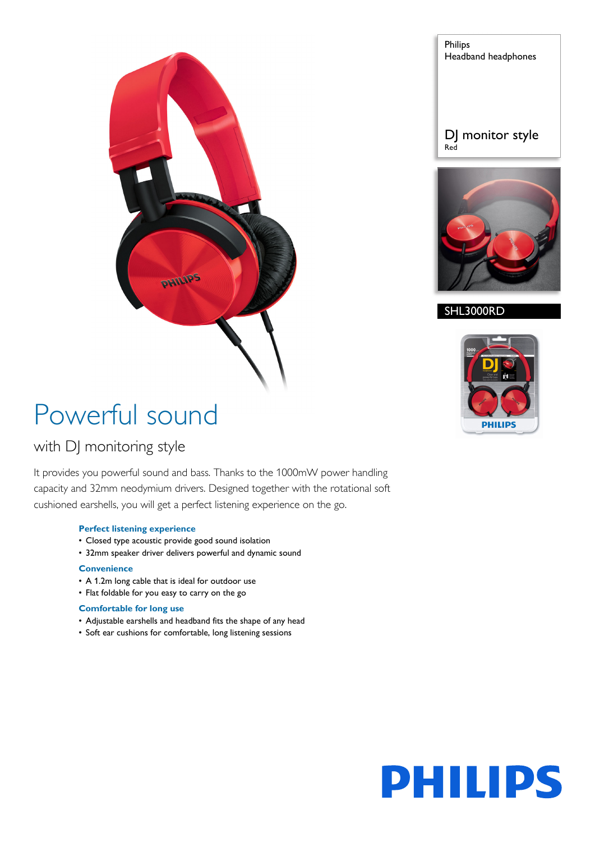

# Powerful sound

### with DJ monitoring style

It provides you powerful sound and bass. Thanks to the 1000mW power handling capacity and 32mm neodymium drivers. Designed together with the rotational soft cushioned earshells, you will get a perfect listening experience on the go.

#### **Perfect listening experience**

- Closed type acoustic provide good sound isolation
- 32mm speaker driver delivers powerful and dynamic sound

#### **Convenience**

- A 1.2m long cable that is ideal for outdoor use
- Flat foldable for you easy to carry on the go

#### **Comfortable for long use**

- Adjustable earshells and headband fits the shape of any head
- Soft ear cushions for comfortable, long listening sessions

Philips Headband headphones

#### DJ monitor style Red



#### SHL3000RD